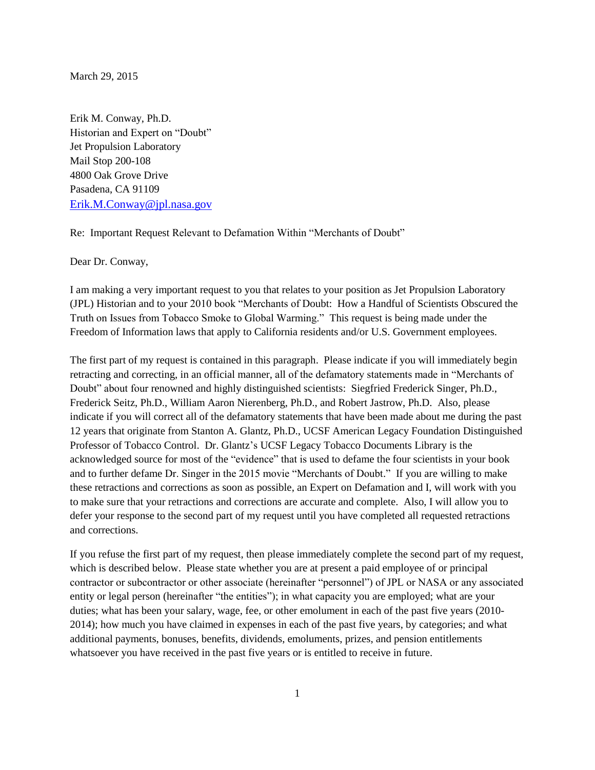March 29, 2015

Erik M. Conway, Ph.D. Historian and Expert on "Doubt" Jet Propulsion Laboratory Mail Stop 200-108 4800 Oak Grove Drive Pasadena, CA 91109 [Erik.M.Conway@jpl.nasa.gov](mailto:Erik.M.Conway@jpl.nasa.gov)

Re: Important Request Relevant to Defamation Within "Merchants of Doubt"

Dear Dr. Conway,

I am making a very important request to you that relates to your position as Jet Propulsion Laboratory (JPL) Historian and to your 2010 book "Merchants of Doubt: How a Handful of Scientists Obscured the Truth on Issues from Tobacco Smoke to Global Warming." This request is being made under the Freedom of Information laws that apply to California residents and/or U.S. Government employees.

The first part of my request is contained in this paragraph. Please indicate if you will immediately begin retracting and correcting, in an official manner, all of the defamatory statements made in "Merchants of Doubt" about four renowned and highly distinguished scientists: Siegfried Frederick Singer, Ph.D., Frederick Seitz, Ph.D., William Aaron Nierenberg, Ph.D., and Robert Jastrow, Ph.D. Also, please indicate if you will correct all of the defamatory statements that have been made about me during the past 12 years that originate from Stanton A. Glantz, Ph.D., UCSF American Legacy Foundation Distinguished Professor of Tobacco Control. Dr. Glantz's UCSF Legacy Tobacco Documents Library is the acknowledged source for most of the "evidence" that is used to defame the four scientists in your book and to further defame Dr. Singer in the 2015 movie "Merchants of Doubt." If you are willing to make these retractions and corrections as soon as possible, an Expert on Defamation and I, will work with you to make sure that your retractions and corrections are accurate and complete. Also, I will allow you to defer your response to the second part of my request until you have completed all requested retractions and corrections.

If you refuse the first part of my request, then please immediately complete the second part of my request, which is described below. Please state whether you are at present a paid employee of or principal contractor or subcontractor or other associate (hereinafter "personnel") of JPL or NASA or any associated entity or legal person (hereinafter "the entities"); in what capacity you are employed; what are your duties; what has been your salary, wage, fee, or other emolument in each of the past five years (2010- 2014); how much you have claimed in expenses in each of the past five years, by categories; and what additional payments, bonuses, benefits, dividends, emoluments, prizes, and pension entitlements whatsoever you have received in the past five years or is entitled to receive in future.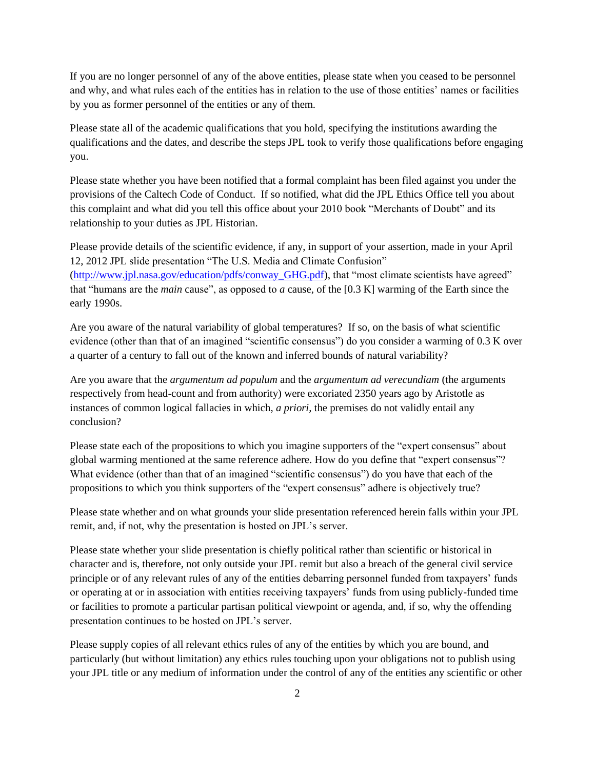If you are no longer personnel of any of the above entities, please state when you ceased to be personnel and why, and what rules each of the entities has in relation to the use of those entities' names or facilities by you as former personnel of the entities or any of them.

Please state all of the academic qualifications that you hold, specifying the institutions awarding the qualifications and the dates, and describe the steps JPL took to verify those qualifications before engaging you.

Please state whether you have been notified that a formal complaint has been filed against you under the provisions of the Caltech Code of Conduct. If so notified, what did the JPL Ethics Office tell you about this complaint and what did you tell this office about your 2010 book "Merchants of Doubt" and its relationship to your duties as JPL Historian.

Please provide details of the scientific evidence, if any, in support of your assertion, made in your April 12, 2012 JPL slide presentation "The U.S. Media and Climate Confusion" [\(http://www.jpl.nasa.gov/education/pdfs/conway\\_GHG.pdf\)](http://www.jpl.nasa.gov/education/pdfs/conway_GHG.pdf), that "most climate scientists have agreed" that "humans are the *main* cause", as opposed to *a* cause, of the [0.3 K] warming of the Earth since the early 1990s.

Are you aware of the natural variability of global temperatures? If so, on the basis of what scientific evidence (other than that of an imagined "scientific consensus") do you consider a warming of 0.3 K over a quarter of a century to fall out of the known and inferred bounds of natural variability?

Are you aware that the *argumentum ad populum* and the *argumentum ad verecundiam* (the arguments respectively from head-count and from authority) were excoriated 2350 years ago by Aristotle as instances of common logical fallacies in which, *a priori,* the premises do not validly entail any conclusion?

Please state each of the propositions to which you imagine supporters of the "expert consensus" about global warming mentioned at the same reference adhere. How do you define that "expert consensus"? What evidence (other than that of an imagined "scientific consensus") do you have that each of the propositions to which you think supporters of the "expert consensus" adhere is objectively true?

Please state whether and on what grounds your slide presentation referenced herein falls within your JPL remit, and, if not, why the presentation is hosted on JPL's server.

Please state whether your slide presentation is chiefly political rather than scientific or historical in character and is, therefore, not only outside your JPL remit but also a breach of the general civil service principle or of any relevant rules of any of the entities debarring personnel funded from taxpayers' funds or operating at or in association with entities receiving taxpayers' funds from using publicly-funded time or facilities to promote a particular partisan political viewpoint or agenda, and, if so, why the offending presentation continues to be hosted on JPL's server.

Please supply copies of all relevant ethics rules of any of the entities by which you are bound, and particularly (but without limitation) any ethics rules touching upon your obligations not to publish using your JPL title or any medium of information under the control of any of the entities any scientific or other